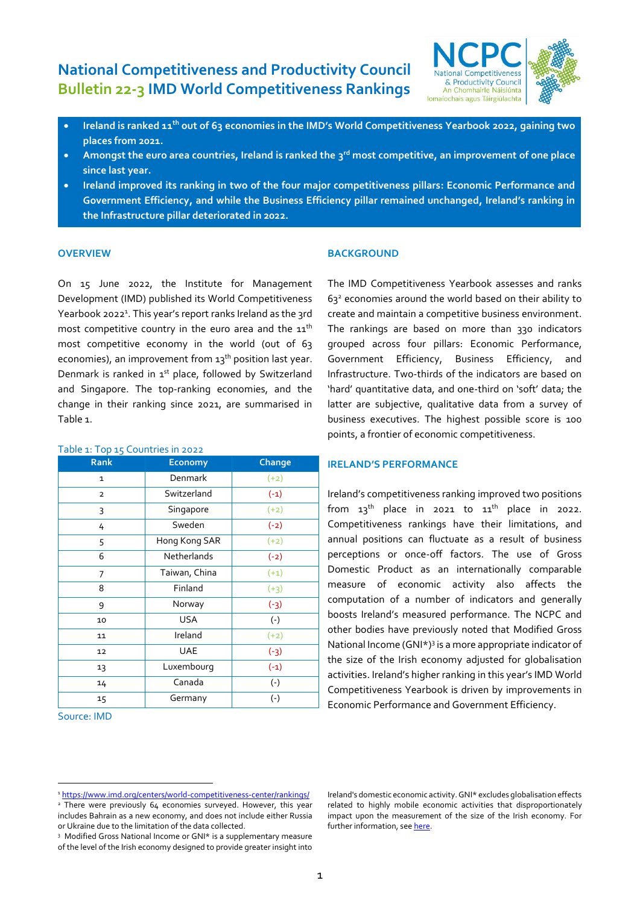# **National Competitiveness and Productivity Council Bulletin 22-3 IMD World Competitiveness Rankings**



- **Ireland is ranked 11 th out of 63 economies in the IMD's World Competitiveness Yearbook 2022, gaining two places from 2021.**
- **Amongst the euro area countries, Ireland is ranked the 3 rd most competitive, an improvement of one place since last year.**
- **Ireland improved its ranking in two of the four major competitiveness pillars: Economic Performance and Government Efficiency, and while the Business Efficiency pillar remained unchanged, Ireland's ranking in the Infrastructure pillar deteriorated in 2022.**

## **OVERVIEW**

On 15 June 2022, the Institute for Management Development (IMD) published its World Competitiveness Yearbook 2022 1 . This year's report ranks Ireland as the 3rd most competitive country in the euro area and the  $\mathtt{11}^\mathtt{th}$ most competitive economy in the world (out of 63 economies), an improvement from 13<sup>th</sup> position last year. Denmark is ranked in 1st place, followed by Switzerland and Singapore. The top-ranking economies, and the change in their ranking since 2021, are summarised in Table 1.

| <b>Rank</b>    | <b>Economy</b> | Change |
|----------------|----------------|--------|
| $\mathbf{1}$   | Denmark        | $(+2)$ |
| $\overline{2}$ | Switzerland    | $(-1)$ |
| 3              | Singapore      | $(+2)$ |
| 4              | Sweden         | $(-2)$ |
| 5              | Hong Kong SAR  | $(+2)$ |
| 6              | Netherlands    | $(-2)$ |
| 7              | Taiwan, China  | $(+1)$ |
| 8              | Finland        | $(+3)$ |
| 9              | Norway         | $(-3)$ |
| 10             | <b>USA</b>     | $(-)$  |
| 11             | Ireland        | $(+2)$ |
| 12             | <b>UAE</b>     | $(-3)$ |
| 13             | Luxembourg     | $(-1)$ |
| 14             | Canada         | $(-)$  |
| 15             | Germany        | $(-)$  |

#### Table 1: Top 15 Countries in 2022

#### Source: IMD

#### **BACKGROUND**

The IMD Competitiveness Yearbook assesses and ranks  $63<sup>2</sup>$  economies around the world based on their ability to create and maintain a competitive business environment. The rankings are based on more than 330 indicators grouped across four pillars: Economic Performance, Government Efficiency, Business Efficiency, and Infrastructure. Two-thirds of the indicators are based on 'hard' quantitative data, and one-third on 'soft' data; the latter are subjective, qualitative data from a survey of business executives. The highest possible score is 100 points, a frontier of economic competitiveness.

#### **IRELAND'S PERFORMANCE**

Ireland's competitiveness ranking improved two positions from  $13<sup>th</sup>$  place in 2021 to  $11<sup>th</sup>$  place in 2022. Competitiveness rankings have their limitations, and annual positions can fluctuate as a result of business perceptions or once-off factors. The use of Gross Domestic Product as an internationally comparable measure of economic activity also affects the computation of a number of indicators and generally boosts Ireland's measured performance. The NCPC and other bodies have previously noted that Modified Gross National Income (GNI\*) 3 is a more appropriate indicator of the size of the Irish economy adjusted for globalisation activities. Ireland's higher ranking in this year's IMD World Competitiveness Yearbook is driven by improvements in  $\Box$  Economic Performance and Government Efficiency.

Ireland's domestic economic activity. GNI\* excludes globalisation effects related to highly mobile economic activities that disproportionately impact upon the measurement of the size of the Irish economy. For further information, se[e here.](https://www.cso.ie/en/releasesandpublications/in/nie/in-mgnicp/)

<sup>&</sup>lt;sup>1</sup> <https://www.imd.org/centers/world-competitiveness-center/rankings/> <sup>2</sup> There were previously 64 economies surveyed. However, this year includes Bahrain as a new economy, and does not include either Russia

or Ukraine due to the limitation of the data collected.

<sup>3</sup> Modified Gross National Income or GNI\* is a supplementary measure of the level of the Irish economy designed to provide greater insight into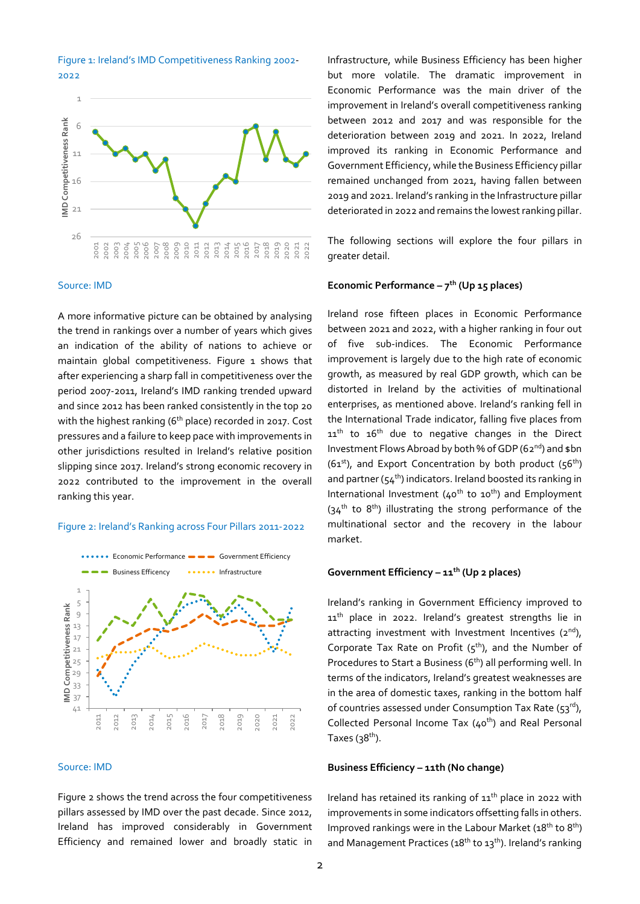

#### Source: IMD

A more informative picture can be obtained by analysing the trend in rankings over a number of years which gives an indication of the ability of nations to achieve or maintain global competitiveness. Figure 1 shows that after experiencing a sharp fall in competitiveness over the period 2007-2011, Ireland's IMD ranking trended upward and since 2012 has been ranked consistently in the top 20 with the highest ranking (6<sup>th</sup> place) recorded in 2017. Cost pressures and a failure to keep pace with improvements in other jurisdictions resulted in Ireland's relative position slipping since 2017. Ireland's strong economic recovery in 2022 contributed to the improvement in the overall ranking this year.

#### Figure 2: Ireland's Ranking across Four Pillars 2011-2022



#### Source: IMD

Figure 2 shows the trend across the four competitiveness pillars assessed by IMD over the past decade. Since 2012, Ireland has improved considerably in Government Efficiency and remained lower and broadly static in

Infrastructure, while Business Efficiency has been higher but more volatile. The dramatic improvement in Economic Performance was the main driver of the improvement in Ireland's overall competitiveness ranking between 2012 and 2017 and was responsible for the deterioration between 2019 and 2021. In 2022, Ireland improved its ranking in Economic Performance and Government Efficiency, while the Business Efficiency pillar remained unchanged from 2021, having fallen between 2019 and 2021. Ireland's ranking in the Infrastructure pillar deteriorated in 2022 and remains the lowest ranking pillar.

The following sections will explore the four pillars in greater detail.

## **Economic Performance – 7 th (Up 15 places)**

Ireland rose fifteen places in Economic Performance between 2021 and 2022, with a higher ranking in four out of five sub-indices. The Economic Performance improvement is largely due to the high rate of economic growth, as measured by real GDP growth, which can be distorted in Ireland by the activities of multinational enterprises, as mentioned above. Ireland's ranking fell in the International Trade indicator, falling five places from  $11<sup>th</sup>$  to  $16<sup>th</sup>$  due to negative changes in the Direct Investment Flows Abroad by both % of GDP (62<sup>nd</sup>) and \$bn  $(61<sup>st</sup>)$ , and Export Concentration by both product  $(56<sup>th</sup>)$ and partner ( $54<sup>th</sup>$ ) indicators. Ireland boosted its ranking in International Investment ( $40^{th}$  to  $10^{th}$ ) and Employment  $(34<sup>th</sup>$  to 8<sup>th</sup>) illustrating the strong performance of the multinational sector and the recovery in the labour market.

#### **Government Efficiency – 11 th (Up 2 places)**

Ireland's ranking in Government Efficiency improved to 11<sup>th</sup> place in 2022. Ireland's greatest strengths lie in attracting investment with Investment Incentives  $(2^{nd})$ , Corporate Tax Rate on Profit  $(5<sup>th</sup>)$ , and the Number of Procedures to Start a Business (6<sup>th</sup>) all performing well. In terms of the indicators, Ireland's greatest weaknesses are in the area of domestic taxes, ranking in the bottom half of countries assessed under Consumption Tax Rate (53rd), Collected Personal Income Tax (40<sup>th</sup>) and Real Personal Taxes (3 $8^{\rm th}$ ).

## **Business Efficiency – 11th (No change)**

Ireland has retained its ranking of  $11<sup>th</sup>$  place in 2022 with improvements in some indicators offsetting falls in others. Improved rankings were in the Labour Market (18<sup>th</sup> to 8<sup>th</sup>) and Management Practices (18<sup>th</sup> to 13<sup>th</sup>). Ireland's ranking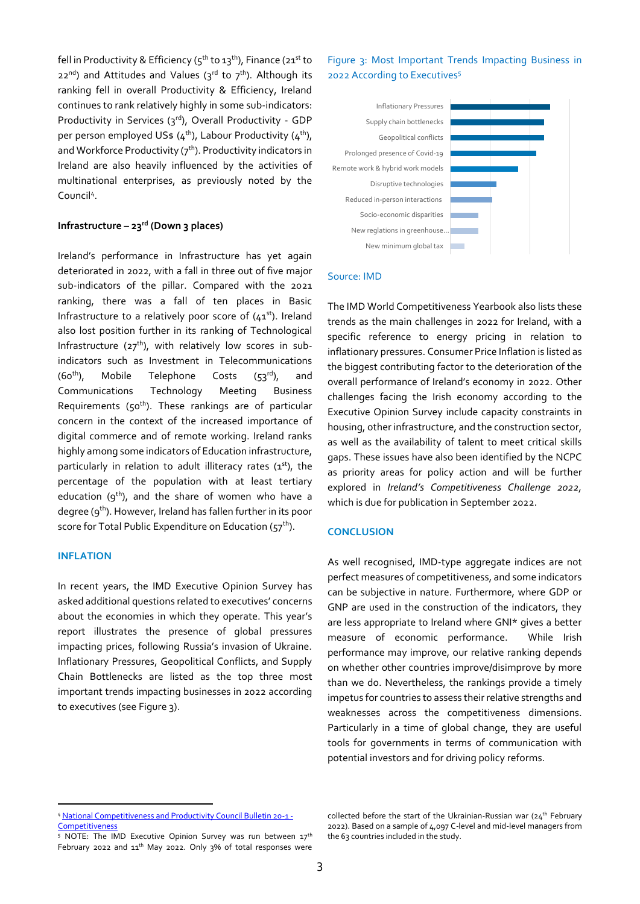fell in Productivity & Efficiency ( $5^{th}$  to  $13^{th}$ ), Finance ( $21^{st}$  to  $22^{nd}$ ) and Attitudes and Values ( $3^{rd}$  to  $7^{th}$ ). Although its ranking fell in overall Productivity & Efficiency, Ireland continues to rank relatively highly in some sub-indicators: Productivity in Services (3rd), Overall Productivity - GDP per person employed US\$ (4<sup>th</sup>), Labour Productivity (4<sup>th</sup>), and Workforce Productivity  $(7<sup>th</sup>)$ . Productivity indicators in Ireland are also heavily influenced by the activities of multinational enterprises, as previously noted by the Council<sup>4</sup>.

## **Infrastructure – 23 rd (Down 3 places)**

Ireland's performance in Infrastructure has yet again deteriorated in 2022, with a fall in three out of five major sub-indicators of the pillar. Compared with the 2021 ranking, there was a fall of ten places in Basic Infrastructure to a relatively poor score of  $(41<sup>st</sup>)$ . Ireland also lost position further in its ranking of Technological Infrastructure ( $27<sup>th</sup>$ ), with relatively low scores in subindicators such as Investment in Telecommunications  $(60<sup>th</sup>)$ , Mobile Telephone Costs (53<sup>rd</sup>), and Communications Technology Meeting Business Requirements ( $50<sup>th</sup>$ ). These rankings are of particular concern in the context of the increased importance of digital commerce and of remote working. Ireland ranks highly among some indicators of Education infrastructure, particularly in relation to adult illiteracy rates (1st), the percentage of the population with at least tertiary education ( $9<sup>th</sup>$ ), and the share of women who have a degree (9<sup>th</sup>). However, Ireland has fallen further in its poor score for Total Public Expenditure on Education (57<sup>th</sup>).

#### **INFLATION**

In recent years, the IMD Executive Opinion Survey has asked additional questions related to executives' concerns about the economies in which they operate. This year's report illustrates the presence of global pressures impacting prices, following Russia's invasion of Ukraine. Inflationary Pressures, Geopolitical Conflicts, and Supply Chain Bottlenecks are listed as the top three most important trends impacting businesses in 2022 according to executives (see Figure 3).

# Figure 3: Most Important Trends Impacting Business in 2022 According to Executives<sup>5</sup>



#### Source: IMD

The IMD World Competitiveness Yearbook also lists these trends as the main challenges in 2022 for Ireland, with a specific reference to energy pricing in relation to inflationary pressures. Consumer Price Inflation is listed as the biggest contributing factor to the deterioration of the overall performance of Ireland's economy in 2022. Other challenges facing the Irish economy according to the Executive Opinion Survey include capacity constraints in housing, other infrastructure, and the construction sector, as well as the availability of talent to meet critical skills gaps. These issues have also been identified by the NCPC as priority areas for policy action and will be further explored in *Ireland's Competitiveness Challenge 2022,* which is due for publication in September 2022.

### **CONCLUSION**

As well recognised, IMD-type aggregate indices are not perfect measures of competitiveness, and some indicators can be subjective in nature. Furthermore, where GDP or GNP are used in the construction of the indicators, they are less appropriate to Ireland where GNI\* gives a better measure of economic performance. While Irish performance may improve, our relative ranking depends on whether other countries improve/disimprove by more than we do. Nevertheless, the rankings provide a timely impetus for countries to assess their relative strengths and weaknesses across the competitiveness dimensions. Particularly in a time of global change, they are useful tools for governments in terms of communication with potential investors and for driving policy reforms.

<sup>4</sup> [National Competitiveness and Productivity Council Bulletin 20-1 -](http://www.competitiveness.ie/publications/2020/national%20competitiveness%20and%20productivity%20council%20%20bulletin%2020-1.html) **[Competitiveness](http://www.competitiveness.ie/publications/2020/national%20competitiveness%20and%20productivity%20council%20%20bulletin%2020-1.html)** 

<sup>&</sup>lt;sup>5</sup> NOTE: The IMD Executive Opinion Survey was run between 17<sup>th</sup> February 2022 and 11<sup>th</sup> May 2022. Only 3% of total responses were

collected before the start of the Ukrainian-Russian war (24<sup>th</sup> February 2022). Based on a sample of 4,097 C-level and mid-level managers from the 63 countries included in the study.